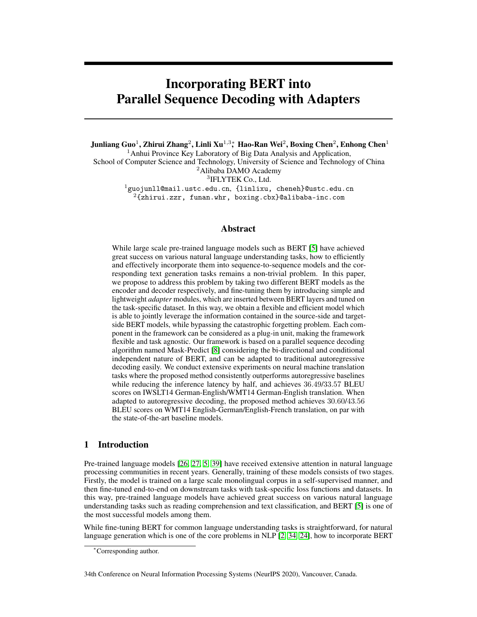# Incorporating BERT into Parallel Sequence Decoding with Adapters

Junliang Guo $^1$ , Zhirui Zhang $^2$ , Linli Xu $^{1,3}\!$ , Hao-Ran Wei $^2$ , Boxing Chen $^2$ , Enhong Chen $^1$  $<sup>1</sup>$ Anhui Province Key Laboratory of Big Data Analysis and Application,</sup>

School of Computer Science and Technology, University of Science and Technology of China <sup>2</sup>Alibaba DAMO Academy

3 IFLYTEK Co., Ltd.

<sup>1</sup>guojunll@mail.ustc.edu.cn, {linlixu, cheneh}@ustc.edu.cn  $2\{\text{zhirui}.z\text{zr},\text{ funan.whr},\text{boxing.cbx}\}$ @alibaba-inc.com

## Abstract

While large scale pre-trained language models such as BERT [\[5\]](#page-9-0) have achieved great success on various natural language understanding tasks, how to efficiently and effectively incorporate them into sequence-to-sequence models and the corresponding text generation tasks remains a non-trivial problem. In this paper, we propose to address this problem by taking two different BERT models as the encoder and decoder respectively, and fine-tuning them by introducing simple and lightweight *adapter* modules, which are inserted between BERT layers and tuned on the task-specific dataset. In this way, we obtain a flexible and efficient model which is able to jointly leverage the information contained in the source-side and targetside BERT models, while bypassing the catastrophic forgetting problem. Each component in the framework can be considered as a plug-in unit, making the framework flexible and task agnostic. Our framework is based on a parallel sequence decoding algorithm named Mask-Predict [\[8\]](#page-9-1) considering the bi-directional and conditional independent nature of BERT, and can be adapted to traditional autoregressive decoding easily. We conduct extensive experiments on neural machine translation tasks where the proposed method consistently outperforms autoregressive baselines while reducing the inference latency by half, and achieves 36.49/33.57 BLEU scores on IWSLT14 German-English/WMT14 German-English translation. When adapted to autoregressive decoding, the proposed method achieves 30.60/43.56 BLEU scores on WMT14 English-German/English-French translation, on par with the state-of-the-art baseline models.

# 1 Introduction

Pre-trained language models [\[26,](#page-10-0) [27,](#page-10-1) [5,](#page-9-0) [39\]](#page-11-0) have received extensive attention in natural language processing communities in recent years. Generally, training of these models consists of two stages. Firstly, the model is trained on a large scale monolingual corpus in a self-supervised manner, and then fine-tuned end-to-end on downstream tasks with task-specific loss functions and datasets. In this way, pre-trained language models have achieved great success on various natural language understanding tasks such as reading comprehension and text classification, and BERT [\[5\]](#page-9-0) is one of the most successful models among them.

While fine-tuning BERT for common language understanding tasks is straightforward, for natural language generation which is one of the core problems in NLP [\[2,](#page-9-2) [34,](#page-11-1) [24\]](#page-10-2), how to incorporate BERT

34th Conference on Neural Information Processing Systems (NeurIPS 2020), Vancouver, Canada.

<sup>∗</sup>Corresponding author.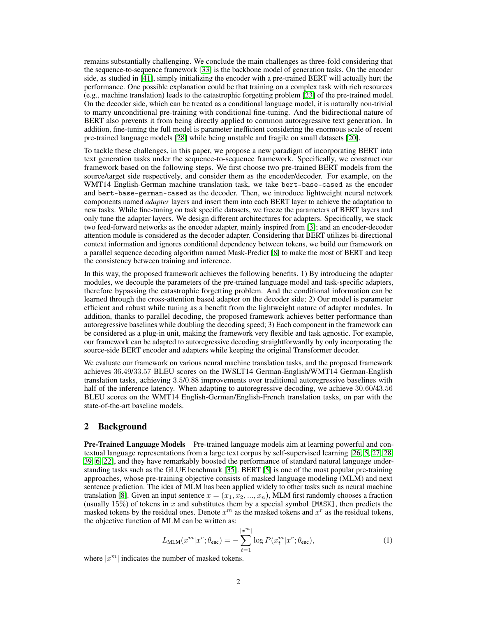remains substantially challenging. We conclude the main challenges as three-fold considering that the sequence-to-sequence framework [\[33\]](#page-11-2) is the backbone model of generation tasks. On the encoder side, as studied in [\[41\]](#page-11-3), simply initializing the encoder with a pre-trained BERT will actually hurt the performance. One possible explanation could be that training on a complex task with rich resources (e.g., machine translation) leads to the catastrophic forgetting problem [\[23\]](#page-10-3) of the pre-trained model. On the decoder side, which can be treated as a conditional language model, it is naturally non-trivial to marry unconditional pre-training with conditional fine-tuning. And the bidirectional nature of BERT also prevents it from being directly applied to common autoregressive text generation. In addition, fine-tuning the full model is parameter inefficient considering the enormous scale of recent pre-trained language models [\[28\]](#page-10-4) while being unstable and fragile on small datasets [\[20\]](#page-10-5).

To tackle these challenges, in this paper, we propose a new paradigm of incorporating BERT into text generation tasks under the sequence-to-sequence framework. Specifically, we construct our framework based on the following steps. We first choose two pre-trained BERT models from the source/target side respectively, and consider them as the encoder/decoder. For example, on the WMT14 English-German machine translation task, we take bert-base-cased as the encoder and bert-base-german-cased as the decoder. Then, we introduce lightweight neural network components named *adapter* layers and insert them into each BERT layer to achieve the adaptation to new tasks. While fine-tuning on task specific datasets, we freeze the parameters of BERT layers and only tune the adapter layers. We design different architectures for adapters. Specifically, we stack two feed-forward networks as the encoder adapter, mainly inspired from [\[3\]](#page-9-3); and an encoder-decoder attention module is considered as the decoder adapter. Considering that BERT utilizes bi-directional context information and ignores conditional dependency between tokens, we build our framework on a parallel sequence decoding algorithm named Mask-Predict [\[8\]](#page-9-1) to make the most of BERT and keep the consistency between training and inference.

In this way, the proposed framework achieves the following benefits. 1) By introducing the adapter modules, we decouple the parameters of the pre-trained language model and task-specific adapters, therefore bypassing the catastrophic forgetting problem. And the conditional information can be learned through the cross-attention based adapter on the decoder side; 2) Our model is parameter efficient and robust while tuning as a benefit from the lightweight nature of adapter modules. In addition, thanks to parallel decoding, the proposed framework achieves better performance than autoregressive baselines while doubling the decoding speed; 3) Each component in the framework can be considered as a plug-in unit, making the framework very flexible and task agnostic. For example, our framework can be adapted to autoregressive decoding straightforwardly by only incorporating the source-side BERT encoder and adapters while keeping the original Transformer decoder.

We evaluate our framework on various neural machine translation tasks, and the proposed framework achieves 36.49/33.57 BLEU scores on the IWSLT14 German-English/WMT14 German-English translation tasks, achieving 3.5/0.88 improvements over traditional autoregressive baselines with half of the inference latency. When adapting to autoregressive decoding, we achieve  $30.60/43.56$ BLEU scores on the WMT14 English-German/English-French translation tasks, on par with the state-of-the-art baseline models.

## 2 Background

Pre-Trained Language Models Pre-trained language models aim at learning powerful and contextual language representations from a large text corpus by self-supervised learning [\[26,](#page-10-0) [5,](#page-9-0) [27,](#page-10-1) [28,](#page-10-4) [39,](#page-11-0) [6,](#page-9-4) [22\]](#page-10-6), and they have remarkably boosted the performance of standard natural language understanding tasks such as the GLUE benchmark [\[35\]](#page-11-4). BERT [\[5\]](#page-9-0) is one of the most popular pre-training approaches, whose pre-training objective consists of masked language modeling (MLM) and next sentence prediction. The idea of MLM has been applied widely to other tasks such as neural machine translation [\[8\]](#page-9-1). Given an input sentence  $x = (x_1, x_2, ..., x_n)$ , MLM first randomly chooses a fraction (usually 15%) of tokens in x and substitutes them by a special symbol [MASK], then predicts the masked tokens by the residual ones. Denote  $x^m$  as the masked tokens and  $x^r$  as the residual tokens, the objective function of MLM can be written as:

$$
L_{\text{MLM}}(x^m | x^r; \theta_{\text{enc}}) = -\sum_{t=1}^{|x^m|} \log P(x_t^m | x^r; \theta_{\text{enc}}), \tag{1}
$$

where  $|x^m|$  indicates the number of masked tokens.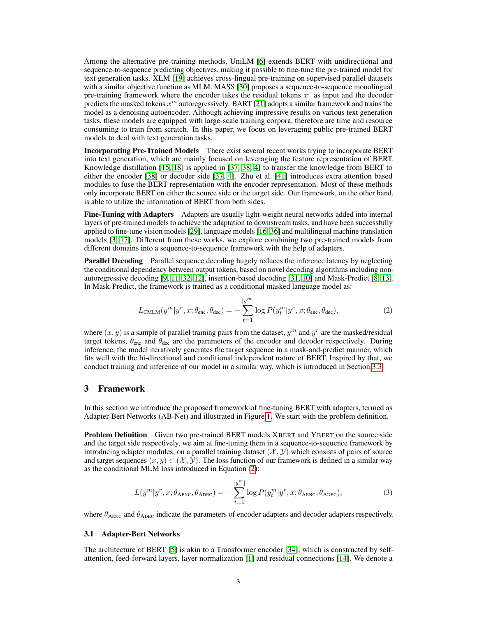Among the alternative pre-training methods, UniLM [\[6\]](#page-9-4) extends BERT with unidirectional and sequence-to-sequence predicting objectives, making it possible to fine-tune the pre-trained model for text generation tasks. XLM [\[19\]](#page-10-7) achieves cross-lingual pre-training on supervised parallel datasets with a similar objective function as MLM. MASS [\[30\]](#page-11-5) proposes a sequence-to-sequence monolingual pre-training framework where the encoder takes the residual tokens  $x^r$  as input and the decoder predicts the masked tokens  $x^m$  autoregressively. BART [\[21\]](#page-10-8) adopts a similar framework and trains the model as a denoising autoencoder. Although achieving impressive results on various text generation tasks, these models are equipped with large-scale training corpora, therefore are time and resource consuming to train from scratch. In this paper, we focus on leveraging public pre-trained BERT models to deal with text generation tasks.

Incorporating Pre-Trained Models There exist several recent works trying to incorporate BERT into text generation, which are mainly focused on leveraging the feature representation of BERT. Knowledge distillation [\[15,](#page-10-9) [18\]](#page-10-10) is applied in [\[37,](#page-11-6) [38,](#page-11-7) [4\]](#page-9-5) to transfer the knowledge from BERT to either the encoder [\[38\]](#page-11-7) or decoder side [\[37,](#page-11-6) [4\]](#page-9-5). Zhu et al. [\[41\]](#page-11-3) introduces extra attention based modules to fuse the BERT representation with the encoder representation. Most of these methods only incorporate BERT on either the source side or the target side. Our framework, on the other hand, is able to utilize the information of BERT from both sides.

Fine-Tuning with Adapters Adapters are usually light-weight neural networks added into internal layers of pre-trained models to achieve the adaptation to downstream tasks, and have been successfully applied to fine-tune vision models [\[29\]](#page-11-8), language models [\[16,](#page-10-11) [36\]](#page-11-9) and multilingual machine translation models [\[3,](#page-9-3) [17\]](#page-10-12). Different from these works, we explore combining two pre-trained models from different domains into a sequence-to-sequence framework with the help of adapters.

**Parallel Decoding** Parallel sequence decoding hugely reduces the inference latency by neglecting the conditional dependency between output tokens, based on novel decoding algorithms including nonautoregressive decoding [\[9,](#page-9-6) [11,](#page-9-7) [32,](#page-11-10) [12\]](#page-10-13), insertion-based decoding [\[31,](#page-11-11) [10\]](#page-9-8) and Mask-Predict [\[8,](#page-9-1) [13\]](#page-10-14). In Mask-Predict, the framework is trained as a conditional masked language model as:

<span id="page-2-0"></span>
$$
L_{\text{CMLM}}(y^m | y^r, x; \theta_{\text{enc}}, \theta_{\text{dec}}) = -\sum_{t=1}^{|y^m|} \log P(y_t^m | y^r, x; \theta_{\text{enc}}, \theta_{\text{dec}}),\tag{2}
$$

where  $(x, y)$  is a sample of parallel training pairs from the dataset,  $y<sup>m</sup>$  and  $y<sup>r</sup>$  are the masked/residual target tokens,  $\theta_{\text{enc}}$  and  $\theta_{\text{dec}}$  are the parameters of the encoder and decoder respectively. During inference, the model iteratively generates the target sequence in a mask-and-predict manner, which fits well with the bi-directional and conditional independent nature of BERT. Inspired by that, we conduct training and inference of our model in a similar way, which is introduced in Section [3.3.](#page-4-0)

#### 3 Framework

In this section we introduce the proposed framework of fine-tuning BERT with adapters, termed as Adapter-Bert Networks (AB-Net) and illustrated in Figure [1.](#page-3-0) We start with the problem definition.

**Problem Definition** Given two pre-trained BERT models XBERT and YBERT on the source side and the target side respectively, we aim at fine-tuning them in a sequence-to-sequence framework by introducing adapter modules, on a parallel training dataset  $(\mathcal{X}, \mathcal{Y})$  which consists of pairs of source and target sequences  $(x, y) \in (X, Y)$ . The loss function of our framework is defined in a similar way as the conditional MLM loss introduced in Equation [\(2\)](#page-2-0):

<span id="page-2-1"></span>
$$
L(y^m|y^r, x; \theta_{\text{AENC}}, \theta_{\text{ADEC}}) = -\sum_{t=1}^{|y^m|} \log P(y_t^m|y^r, x; \theta_{\text{AENC}}, \theta_{\text{ADEC}}),\tag{3}
$$

where  $\theta_{\text{ABNC}}$  and  $\theta_{\text{ADEC}}$  indicate the parameters of encoder adapters and decoder adapters respectively.

#### 3.1 Adapter-Bert Networks

The architecture of BERT [\[5\]](#page-9-0) is akin to a Transformer encoder [\[34\]](#page-11-1), which is constructed by selfattention, feed-forward layers, layer normalization [\[1\]](#page-9-9) and residual connections [\[14\]](#page-10-15). We denote a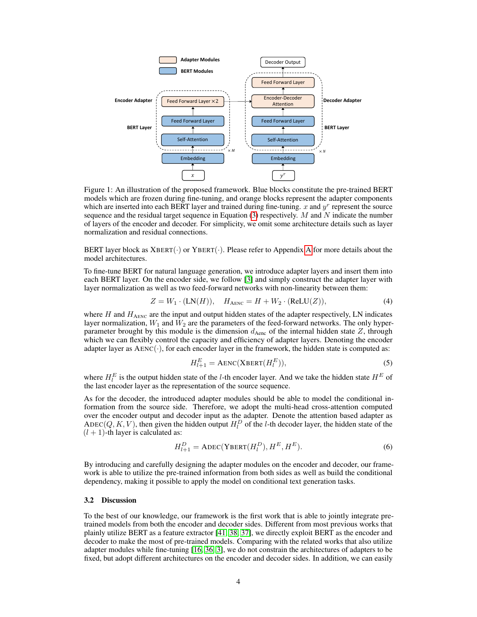<span id="page-3-0"></span>

Figure 1: An illustration of the proposed framework. Blue blocks constitute the pre-trained BERT models which are frozen during fine-tuning, and orange blocks represent the adapter components which are inserted into each BERT layer and trained during fine-tuning.  $x$  and  $y^r$  represent the source sequence and the residual target sequence in Equation  $(3)$  respectively. M and N indicate the number of layers of the encoder and decoder. For simplicity, we omit some architecture details such as layer normalization and residual connections.

BERT layer block as  $XBERT(\cdot)$  or  $YBERT(\cdot)$ . Please refer to [A](#page--1-0)ppendix A for more details about the model architectures.

To fine-tune BERT for natural language generation, we introduce adapter layers and insert them into each BERT layer. On the encoder side, we follow [\[3\]](#page-9-3) and simply construct the adapter layer with layer normalization as well as two feed-forward networks with non-linearity between them:

$$
Z = W_1 \cdot (LN(H)), \quad H_{ABNC} = H + W_2 \cdot (ReLU(Z)), \tag{4}
$$

where  $H$  and  $H_{\text{AENC}}$  are the input and output hidden states of the adapter respectively, LN indicates layer normalization,  $W_1$  and  $W_2$  are the parameters of the feed-forward networks. The only hyperparameter brought by this module is the dimension  $d_{\text{Aenc}}$  of the internal hidden state  $Z$ , through which we can flexibly control the capacity and efficiency of adapter layers. Denoting the encoder adapter layer as  $AENC(\cdot)$ , for each encoder layer in the framework, the hidden state is computed as:

$$
H_{l+1}^{E} = \text{AENC}(\text{XBERT}(H_l^{E})),\tag{5}
$$

where  $H_l^E$  is the output hidden state of the *l*-th encoder layer. And we take the hidden state  $H^E$  of the last encoder layer as the representation of the source sequence.

As for the decoder, the introduced adapter modules should be able to model the conditional information from the source side. Therefore, we adopt the multi-head cross-attention computed over the encoder output and decoder input as the adapter. Denote the attention based adapter as ADEC(Q, K, V), then given the hidden output  $H_l^D$  of the l-th decoder layer, the hidden state of the  $(l + 1)$ -th layer is calculated as:

$$
H_{l+1}^D = \text{ADEC}(\text{YBERT}(H_l^D), H^E, H^E). \tag{6}
$$

By introducing and carefully designing the adapter modules on the encoder and decoder, our framework is able to utilize the pre-trained information from both sides as well as build the conditional dependency, making it possible to apply the model on conditional text generation tasks.

#### 3.2 Discussion

To the best of our knowledge, our framework is the first work that is able to jointly integrate pretrained models from both the encoder and decoder sides. Different from most previous works that plainly utilize BERT as a feature extractor [\[41,](#page-11-3) [38,](#page-11-7) [37\]](#page-11-6), we directly exploit BERT as the encoder and decoder to make the most of pre-trained models. Comparing with the related works that also utilize adapter modules while fine-tuning [\[16,](#page-10-11) [36,](#page-11-9) [3\]](#page-9-3), we do not constrain the architectures of adapters to be fixed, but adopt different architectures on the encoder and decoder sides. In addition, we can easily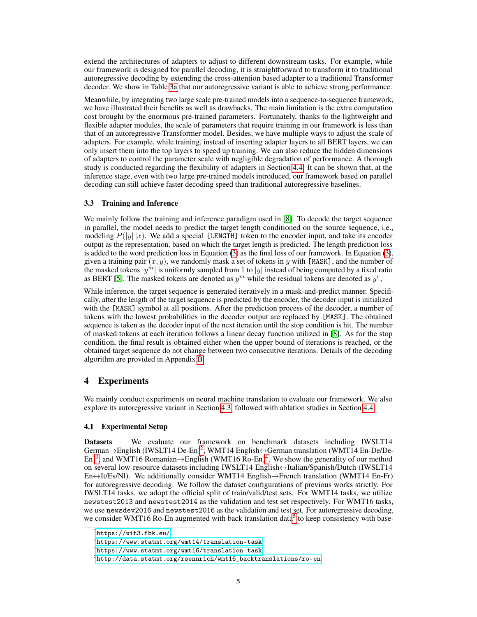extend the architectures of adapters to adjust to different downstream tasks. For example, while our framework is designed for parallel decoding, it is straightforward to transform it to traditional autoregressive decoding by extending the cross-attention based adapter to a traditional Transformer decoder. We show in Table [3a](#page-6-0) that our autoregressive variant is able to achieve strong performance.

Meanwhile, by integrating two large scale pre-trained models into a sequence-to-sequence framework, we have illustrated their benefits as well as drawbacks. The main limitation is the extra computation cost brought by the enormous pre-trained parameters. Fortunately, thanks to the lightweight and flexible adapter modules, the scale of parameters that require training in our framework is less than that of an autoregressive Transformer model. Besides, we have multiple ways to adjust the scale of adapters. For example, while training, instead of inserting adapter layers to all BERT layers, we can only insert them into the top layers to speed up training. We can also reduce the hidden dimensions of adapters to control the parameter scale with negligible degradation of performance. A thorough study is conducted regarding the flexibility of adapters in Section [4.4.](#page-7-0) It can be shown that, at the inference stage, even with two large pre-trained models introduced, our framework based on parallel decoding can still achieve faster decoding speed than traditional autoregressive baselines.

#### <span id="page-4-0"></span>3.3 Training and Inference

We mainly follow the training and inference paradigm used in [\[8\]](#page-9-1). To decode the target sequence in parallel, the model needs to predict the target length conditioned on the source sequence, i.e., modeling  $P(|y| |x)$ . We add a special [LENGTH] token to the encoder input, and take its encoder output as the representation, based on which the target length is predicted. The length prediction loss is added to the word prediction loss in Equation [\(3\)](#page-2-1) as the final loss of our framework. In Equation [\(3\)](#page-2-1), given a training pair  $(x, y)$ , we randomly mask a set of tokens in y with [MASK], and the number of the masked tokens  $|y^m|$  is uniformly sampled from 1 to  $|y|$  instead of being computed by a fixed ratio as BERT [\[5\]](#page-9-0). The masked tokens are denoted as  $y^m$  while the residual tokens are denoted as  $y^r$ ,

While inference, the target sequence is generated iteratively in a mask-and-predict manner. Specifically, after the length of the target sequence is predicted by the encoder, the decoder input is initialized with the [MASK] symbol at all positions. After the prediction process of the decoder, a number of tokens with the lowest probabilities in the decoder output are replaced by [MASK]. The obtained sequence is taken as the decoder input of the next iteration until the stop condition is hit. The number of masked tokens at each iteration follows a linear decay function utilized in [\[8\]](#page-9-1). As for the stop condition, the final result is obtained either when the upper bound of iterations is reached, or the obtained target sequence do not change between two consecutive iterations. Details of the decoding algorithm are provided in Appendix [B.](#page--1-1)

## 4 Experiments

We mainly conduct experiments on neural machine translation to evaluate our framework. We also explore its autoregressive variant in Section [4.3,](#page-6-1) followed with ablation studies in Section [4.4.](#page-7-0)

#### 4.1 Experimental Setup

Datasets We evaluate our framework on benchmark datasets including IWSLT14 German→English (IWSLT14 De-En)<sup>[2](#page-4-1)</sup>, WMT14 English↔German translation (WMT14 En-De/De-En)<sup>[3](#page-4-2)</sup>, and WMT16 Romanian $\rightarrow$ English (WMT16 Ro-En)<sup>[4](#page-4-3)</sup>. We show the generality of our method on several low-resource datasets including IWSLT14 English↔Italian/Spanish/Dutch (IWSLT14 En↔It/Es/Nl). We additionally consider WMT14 English→French translation (WMT14 En-Fr) for autoregressive decoding. We follow the dataset configurations of previous works strictly. For IWSLT14 tasks, we adopt the official split of train/valid/test sets. For WMT14 tasks, we utilize newstest2013 and newstest2014 as the validation and test set respectively. For WMT16 tasks, we use newsdev2016 and newstest2016 as the validation and test set. For autoregressive decoding, we consider WMT16 Ro-En augmented with back translation data<sup>[5](#page-4-4)</sup> to keep consistency with base-

<span id="page-4-1"></span> $^{2}$ <https://wit3.fbk.eu/>

<span id="page-4-2"></span> $^3$ <https://www.statmt.org/wmt14/translation-task>

<span id="page-4-3"></span><sup>4</sup> <https://www.statmt.org/wmt16/translation-task>

<span id="page-4-4"></span> $^5$ [http://data.statmt.org/rsennrich/wmt16\\_backtranslations/ro-en](http://data.statmt.org/rsennrich/wmt16_backtranslations/ro-en)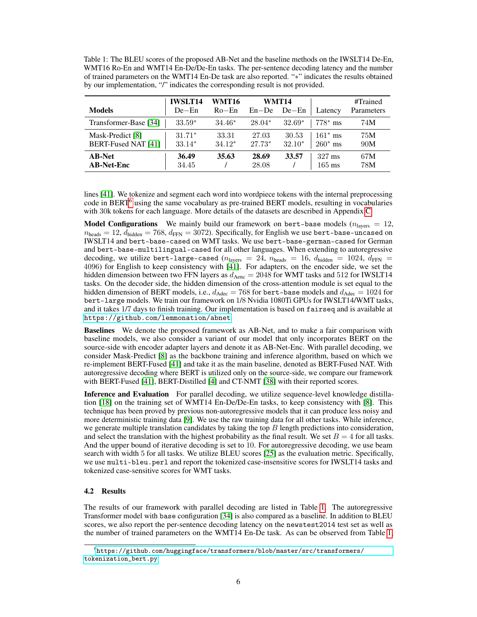<span id="page-5-1"></span>Table 1: The BLEU scores of the proposed AB-Net and the baseline methods on the IWSLT14 De-En, WMT16 Ro-En and WMT14 En-De/De-En tasks. The per-sentence decoding latency and the number of trained parameters on the WMT14 En-De task are also reported. "∗" indicates the results obtained by our implementation, "/" indicates the corresponding result is not provided.

| <b>Models</b>                           | <b>IWSLT14</b><br>$De$ –En | WMT16<br>$Ro$ –En | $En - De$         | WMT14<br>$De$ –En | Latency                              | #Trained<br>Parameters |
|-----------------------------------------|----------------------------|-------------------|-------------------|-------------------|--------------------------------------|------------------------|
| Transformer-Base [34]                   | $33.59*$                   | $34.46*$          | $28.04*$          | $32.69*$          | $778^*$ ms                           | 74M                    |
| Mask-Predict [8]<br>BERT-Fused NAT [41] | $31.71*$<br>$33.14*$       | 33.31<br>$34.12*$ | 27.03<br>$27.73*$ | 30.53<br>$32.10*$ | $161^*$ ms<br>$260*$ ms              | 75M<br>90M             |
| <b>AB-Net</b><br><b>AB-Net-Enc</b>      | 36.49<br>34.45             | 35.63             | 28.69<br>28.08    | 33.57             | $327 \text{ ms}$<br>$165 \text{ ms}$ | 67M<br>78M             |

lines [\[41\]](#page-11-3). We tokenize and segment each word into wordpiece tokens with the internal preprocessing code in BERT<sup>[6](#page-5-0)</sup> using the same vocabulary as pre-trained BERT models, resulting in vocabularies with 30k tokens for each language. More details of the datasets are described in Appendix [C.](#page--1-2)

**Model Configurations** We mainly build our framework on bert-base models ( $n_{\text{layers}} = 12$ ,  $n_{\text{heads}} = 12$ ,  $d_{\text{hidden}} = 768$ ,  $d_{\text{FFN}} = 3072$ ). Specifically, for English we use bert-base-uncased on IWSLT14 and bert-base-cased on WMT tasks. We use bert-base-german-cased for German and bert-base-multilingual-cased for all other languages. When extending to autoregressive decoding, we utilize bert-large-cased ( $n_{\text{layers}} = 24$ ,  $n_{\text{heads}} = 16$ ,  $d_{\text{hidden}} = 1024$ ,  $d_{\text{FFN}} =$ 4096) for English to keep consistency with [\[41\]](#page-11-3). For adapters, on the encoder side, we set the hidden dimension between two FFN layers as  $d_{\text{Aenc}} = 2048$  for WMT tasks and 512 for IWSLT14 tasks. On the decoder side, the hidden dimension of the cross-attention module is set equal to the hidden dimension of BERT models, i.e.,  $d_{\text{Adec}} = 768$  for bert-base models and  $d_{\text{Adec}} = 1024$  for bert-large models. We train our framework on 1/8 Nvidia 1080Ti GPUs for IWSLT14/WMT tasks, and it takes 1/7 days to finish training. Our implementation is based on fairseq and is available at <https://github.com/lemmonation/abnet>.

Baselines We denote the proposed framework as AB-Net, and to make a fair comparison with baseline models, we also consider a variant of our model that only incorporates BERT on the source-side with encoder adapter layers and denote it as AB-Net-Enc. With parallel decoding, we consider Mask-Predict [\[8\]](#page-9-1) as the backbone training and inference algorithm, based on which we re-implement BERT-Fused [\[41\]](#page-11-3) and take it as the main baseline, denoted as BERT-Fused NAT. With autoregressive decoding where BERT is utilized only on the source-side, we compare our framework with BERT-Fused [\[41\]](#page-11-3), BERT-Distilled [\[4\]](#page-9-5) and CT-NMT [\[38\]](#page-11-7) with their reported scores.

Inference and Evaluation For parallel decoding, we utilize sequence-level knowledge distillation [\[18\]](#page-10-10) on the training set of WMT14 En-De/De-En tasks, to keep consistency with [\[8\]](#page-9-1). This technique has been proved by previous non-autoregressive models that it can produce less noisy and more deterministic training data [\[9\]](#page-9-6). We use the raw training data for all other tasks. While inference, we generate multiple translation candidates by taking the top  $B$  length predictions into consideration, and select the translation with the highest probability as the final result. We set  $B = 4$  for all tasks. And the upper bound of iterative decoding is set to 10. For autoregressive decoding, we use beam search with width 5 for all tasks. We utilize BLEU scores [\[25\]](#page-10-16) as the evaluation metric. Specifically, we use multi-bleu.perl and report the tokenized case-insensitive scores for IWSLT14 tasks and tokenized case-sensitive scores for WMT tasks.

#### 4.2 Results

The results of our framework with parallel decoding are listed in Table [1.](#page-5-1) The autoregressive Transformer model with base configuration [\[34\]](#page-11-1) is also compared as a baseline. In addition to BLEU scores, we also report the per-sentence decoding latency on the newstest2014 test set as well as the number of trained parameters on the WMT14 En-De task. As can be observed from Table [1,](#page-5-1)

<span id="page-5-0"></span> $^6$ [https://github.com/huggingface/transformers/blob/master/src/transformers/](https://github.com/huggingface/transformers/blob/master/src/transformers/tokenization_bert.py) [tokenization\\_bert.py](https://github.com/huggingface/transformers/blob/master/src/transformers/tokenization_bert.py)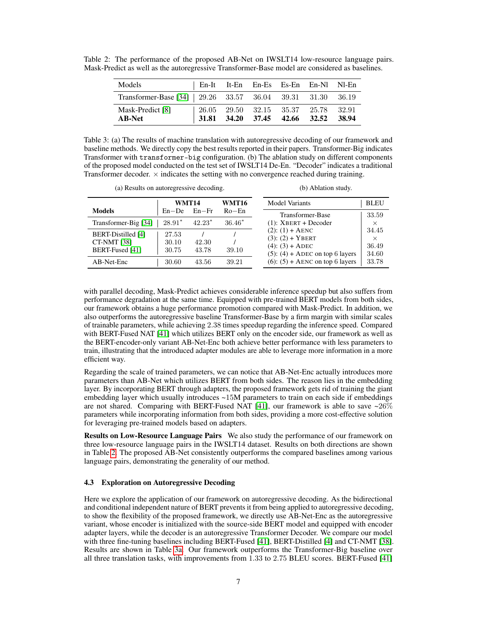| Models                                                      |  |                               | En-It It-En En-Es Es-En En-Nl Nl-En |       |
|-------------------------------------------------------------|--|-------------------------------|-------------------------------------|-------|
| Transformer-Base [34]   29.26 33.57 36.04 39.31 31.30 36.19 |  |                               |                                     |       |
| Mask-Predict [8]<br><b>AB-Net</b>                           |  | 31.81 34.20 37.45 42.66 32.52 | 26.05 29.50 32.15 35.37 25.78 32.91 | 38.94 |

<span id="page-6-2"></span>Table 2: The performance of the proposed AB-Net on IWSLT14 low-resource language pairs. Mask-Predict as well as the autoregressive Transformer-Base model are considered as baselines.

<span id="page-6-0"></span>Table 3: (a) The results of machine translation with autoregressive decoding of our framework and baseline methods. We directly copy the best results reported in their papers. Transformer-Big indicates Transformer with transformer-big configuration. (b) The ablation study on different components of the proposed model conducted on the test set of IWSLT14 De-En. "Decoder" indicates a traditional Transformer decoder.  $\times$  indicates the setting with no convergence reached during training.

 $\overline{a}$  Abraham study.

| (a) Results on autoregressive decoding.                     |                         |                |          | (b) Ablation study.                                                                                           |                                     |  |
|-------------------------------------------------------------|-------------------------|----------------|----------|---------------------------------------------------------------------------------------------------------------|-------------------------------------|--|
|                                                             | <b>WMT14</b>            |                | WMT16    | <b>Model Variants</b>                                                                                         | <b>BLEU</b>                         |  |
| <b>Models</b>                                               | $En - De$               | $En-Fr$        | $Ro$ –En | Transformer-Base                                                                                              | 33.59                               |  |
| Transformer-Big [34]                                        | $28.91*$                | $42.23*$       | $36.46*$ | $(1)$ : XBERT + Decoder                                                                                       | $\times$                            |  |
| BERT-Distilled [4]<br><b>CT-NMT [38]</b><br>BERT-Fused [41] | 27.53<br>30.10<br>30.75 | 42.30<br>43.78 | 39.10    | $(2)$ : $(1) +$ AENC<br>$(3)$ : $(2) + YBERT$<br>$(4)$ : $(3) +$ ADEC<br>$(5)$ : $(4)$ + ADEC on top 6 layers | 34.45<br>$\times$<br>36.49<br>34.60 |  |
| AB-Net-Enc                                                  | 30.60                   | 43.56          | 39.21    | $(6)$ : $(5)$ + AENC on top 6 layers                                                                          | 33.78                               |  |

with parallel decoding, Mask-Predict achieves considerable inference speedup but also suffers from performance degradation at the same time. Equipped with pre-trained BERT models from both sides, our framework obtains a huge performance promotion compared with Mask-Predict. In addition, we also outperforms the autoregressive baseline Transformer-Base by a firm margin with similar scales of trainable parameters, while achieving 2.38 times speedup regarding the inference speed. Compared with BERT-Fused NAT [\[41\]](#page-11-3) which utilizes BERT only on the encoder side, our framework as well as the BERT-encoder-only variant AB-Net-Enc both achieve better performance with less parameters to train, illustrating that the introduced adapter modules are able to leverage more information in a more efficient way.

Regarding the scale of trained parameters, we can notice that AB-Net-Enc actually introduces more parameters than AB-Net which utilizes BERT from both sides. The reason lies in the embedding layer. By incorporating BERT through adapters, the proposed framework gets rid of training the giant embedding layer which usually introduces ~15M parameters to train on each side if embeddings are not shared. Comparing with BERT-Fused NAT [\[41\]](#page-11-3), our framework is able to save  $\sim 26\%$ parameters while incorporating information from both sides, providing a more cost-effective solution for leveraging pre-trained models based on adapters.

Results on Low-Resource Language Pairs We also study the performance of our framework on three low-resource language pairs in the IWSLT14 dataset. Results on both directions are shown in Table [2.](#page-6-2) The proposed AB-Net consistently outperforms the compared baselines among various language pairs, demonstrating the generality of our method.

## <span id="page-6-1"></span>4.3 Exploration on Autoregressive Decoding

Here we explore the application of our framework on autoregressive decoding. As the bidirectional and conditional independent nature of BERT prevents it from being applied to autoregressive decoding, to show the flexibility of the proposed framework, we directly use AB-Net-Enc as the autoregressive variant, whose encoder is initialized with the source-side BERT model and equipped with encoder adapter layers, while the decoder is an autoregressive Transformer Decoder. We compare our model with three fine-tuning baselines including BERT-Fused [\[41\]](#page-11-3), BERT-Distilled [\[4\]](#page-9-5) and CT-NMT [\[38\]](#page-11-7). Results are shown in Table [3a.](#page-6-0) Our framework outperforms the Transformer-Big baseline over all three translation tasks, with improvements from 1.33 to 2.75 BLEU scores. BERT-Fused [\[41\]](#page-11-3)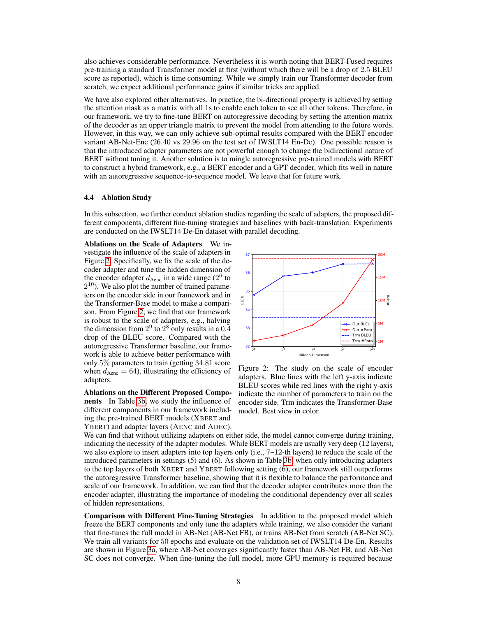also achieves considerable performance. Nevertheless it is worth noting that BERT-Fused requires pre-training a standard Transformer model at first (without which there will be a drop of 2.5 BLEU score as reported), which is time consuming. While we simply train our Transformer decoder from scratch, we expect additional performance gains if similar tricks are applied.

We have also explored other alternatives. In practice, the bi-directional property is achieved by setting the attention mask as a matrix with all 1s to enable each token to see all other tokens. Therefore, in our framework, we try to fine-tune BERT on autoregressive decoding by setting the attention matrix of the decoder as an upper triangle matrix to prevent the model from attending to the future words. However, in this way, we can only achieve sub-optimal results compared with the BERT encoder variant AB-Net-Enc (26.40 vs 29.96 on the test set of IWSLT14 En-De). One possible reason is that the introduced adapter parameters are not powerful enough to change the bidirectional nature of BERT without tuning it. Another solution is to mingle autoregressive pre-trained models with BERT to construct a hybrid framework, e.g., a BERT encoder and a GPT decoder, which fits well in nature with an autoregressive sequence-to-sequence model. We leave that for future work.

#### <span id="page-7-0"></span>4.4 Ablation Study

In this subsection, we further conduct ablation studies regarding the scale of adapters, the proposed different components, different fine-tuning strategies and baselines with back-translation. Experiments are conducted on the IWSLT14 De-En dataset with parallel decoding.

Ablations on the Scale of Adapters We investigate the influence of the scale of adapters in Figure [2.](#page-7-1) Specifically, we fix the scale of the decoder adapter and tune the hidden dimension of the encoder adapter  $d_{\text{Aenc}}$  in a wide range ( $2^6$  to  $2^{10}$ ). We also plot the number of trained parameters on the encoder side in our framework and in the Transformer-Base model to make a comparison. From Figure [2,](#page-7-1) we find that our framework is robust to the scale of adapters, e.g., halving the dimension from  $2^9$  to  $2^8$  only results in a 0.4 drop of the BLEU score. Compared with the autoregressive Transformer baseline, our framework is able to achieve better performance with only 5% parameters to train (getting 34.81 score when  $d_{\text{Aenc}} = 64$ ), illustrating the efficiency of adapters.

Ablations on the Different Proposed Components In Table [3b,](#page-6-0) we study the influence of different components in our framework including the pre-trained BERT models (XBERT and YBERT) and adapter layers (AENC and ADEC).

<span id="page-7-1"></span>

Figure 2: The study on the scale of encoder adapters. Blue lines with the left y-axis indicate BLEU scores while red lines with the right y-axis indicate the number of parameters to train on the encoder side. Trm indicates the Transformer-Base model. Best view in color.

We can find that without utilizing adapters on either side, the model cannot converge during training, indicating the necessity of the adapter modules. While BERT models are usually very deep (12 layers), we also explore to insert adapters into top layers only (i.e.,  $7\nu$ 12-th layers) to reduce the scale of the introduced parameters in settings (5) and (6). As shown in Table [3b,](#page-6-0) when only introducing adapters to the top layers of both XBERT and YBERT following setting (6), our framework still outperforms the autoregressive Transformer baseline, showing that it is flexible to balance the performance and scale of our framework. In addition, we can find that the decoder adapter contributes more than the encoder adapter, illustrating the importance of modeling the conditional dependency over all scales of hidden representations.

Comparison with Different Fine-Tuning Strategies In addition to the proposed model which freeze the BERT components and only tune the adapters while training, we also consider the variant that fine-tunes the full model in AB-Net (AB-Net FB), or trains AB-Net from scratch (AB-Net SC). We train all variants for 50 epochs and evaluate on the validation set of IWSLT14 De-En. Results are shown in Figure [3a,](#page-8-0) where AB-Net converges significantly faster than AB-Net FB, and AB-Net SC does not converge. When fine-tuning the full model, more GPU memory is required because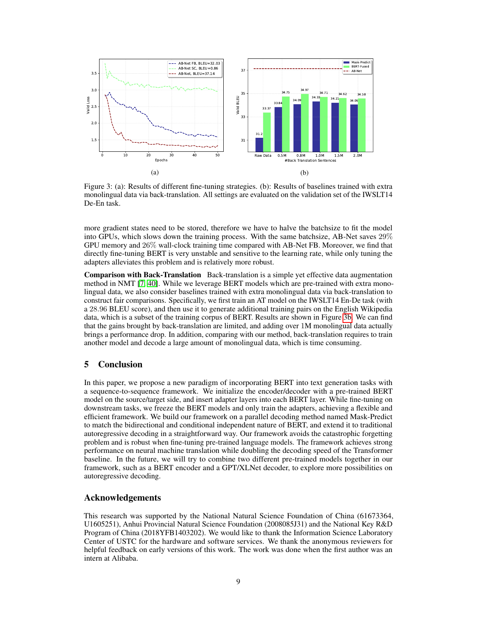<span id="page-8-0"></span>

Figure 3: (a): Results of different fine-tuning strategies. (b): Results of baselines trained with extra monolingual data via back-translation. All settings are evaluated on the validation set of the IWSLT14 De-En task.

more gradient states need to be stored, therefore we have to halve the batchsize to fit the model into GPUs, which slows down the training process. With the same batchsize, AB-Net saves 29% GPU memory and 26% wall-clock training time compared with AB-Net FB. Moreover, we find that directly fine-tuning BERT is very unstable and sensitive to the learning rate, while only tuning the adapters alleviates this problem and is relatively more robust.

Comparison with Back-Translation Back-translation is a simple yet effective data augmentation method in NMT [\[7,](#page-9-10) [40\]](#page-11-12). While we leverage BERT models which are pre-trained with extra monolingual data, we also consider baselines trained with extra monolingual data via back-translation to construct fair comparisons. Specifically, we first train an AT model on the IWSLT14 En-De task (with a 28.96 BLEU score), and then use it to generate additional training pairs on the English Wikipedia data, which is a subset of the training corpus of BERT. Results are shown in Figure [3b.](#page-8-0) We can find that the gains brought by back-translation are limited, and adding over 1M monolingual data actually brings a performance drop. In addition, comparing with our method, back-translation requires to train another model and decode a large amount of monolingual data, which is time consuming.

## 5 Conclusion

In this paper, we propose a new paradigm of incorporating BERT into text generation tasks with a sequence-to-sequence framework. We initialize the encoder/decoder with a pre-trained BERT model on the source/target side, and insert adapter layers into each BERT layer. While fine-tuning on downstream tasks, we freeze the BERT models and only train the adapters, achieving a flexible and efficient framework. We build our framework on a parallel decoding method named Mask-Predict to match the bidirectional and conditional independent nature of BERT, and extend it to traditional autoregressive decoding in a straightforward way. Our framework avoids the catastrophic forgetting problem and is robust when fine-tuning pre-trained language models. The framework achieves strong performance on neural machine translation while doubling the decoding speed of the Transformer baseline. In the future, we will try to combine two different pre-trained models together in our framework, such as a BERT encoder and a GPT/XLNet decoder, to explore more possibilities on autoregressive decoding.

## Acknowledgements

This research was supported by the National Natural Science Foundation of China (61673364, U1605251), Anhui Provincial Natural Science Foundation (2008085J31) and the National Key R&D Program of China (2018YFB1403202). We would like to thank the Information Science Laboratory Center of USTC for the hardware and software services. We thank the anonymous reviewers for helpful feedback on early versions of this work. The work was done when the first author was an intern at Alibaba.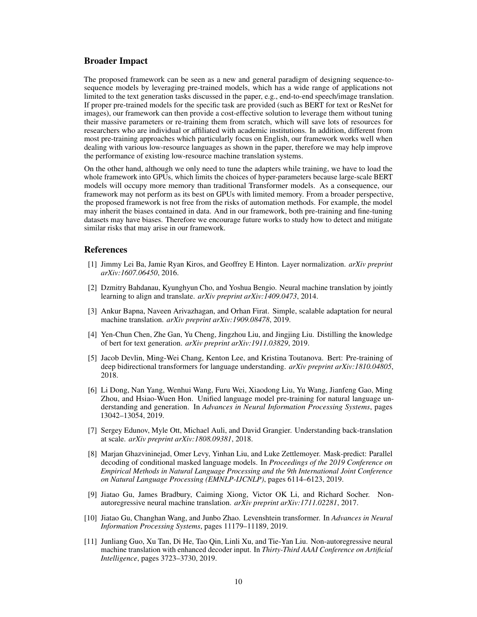### Broader Impact

The proposed framework can be seen as a new and general paradigm of designing sequence-tosequence models by leveraging pre-trained models, which has a wide range of applications not limited to the text generation tasks discussed in the paper, e.g., end-to-end speech/image translation. If proper pre-trained models for the specific task are provided (such as BERT for text or ResNet for images), our framework can then provide a cost-effective solution to leverage them without tuning their massive parameters or re-training them from scratch, which will save lots of resources for researchers who are individual or affiliated with academic institutions. In addition, different from most pre-training approaches which particularly focus on English, our framework works well when dealing with various low-resource languages as shown in the paper, therefore we may help improve the performance of existing low-resource machine translation systems.

On the other hand, although we only need to tune the adapters while training, we have to load the whole framework into GPUs, which limits the choices of hyper-parameters because large-scale BERT models will occupy more memory than traditional Transformer models. As a consequence, our framework may not perform as its best on GPUs with limited memory. From a broader perspective, the proposed framework is not free from the risks of automation methods. For example, the model may inherit the biases contained in data. And in our framework, both pre-training and fine-tuning datasets may have biases. Therefore we encourage future works to study how to detect and mitigate similar risks that may arise in our framework.

### References

- <span id="page-9-9"></span>[1] Jimmy Lei Ba, Jamie Ryan Kiros, and Geoffrey E Hinton. Layer normalization. *arXiv preprint arXiv:1607.06450*, 2016.
- <span id="page-9-2"></span>[2] Dzmitry Bahdanau, Kyunghyun Cho, and Yoshua Bengio. Neural machine translation by jointly learning to align and translate. *arXiv preprint arXiv:1409.0473*, 2014.
- <span id="page-9-3"></span>[3] Ankur Bapna, Naveen Arivazhagan, and Orhan Firat. Simple, scalable adaptation for neural machine translation. *arXiv preprint arXiv:1909.08478*, 2019.
- <span id="page-9-5"></span>[4] Yen-Chun Chen, Zhe Gan, Yu Cheng, Jingzhou Liu, and Jingjing Liu. Distilling the knowledge of bert for text generation. *arXiv preprint arXiv:1911.03829*, 2019.
- <span id="page-9-0"></span>[5] Jacob Devlin, Ming-Wei Chang, Kenton Lee, and Kristina Toutanova. Bert: Pre-training of deep bidirectional transformers for language understanding. *arXiv preprint arXiv:1810.04805*, 2018.
- <span id="page-9-4"></span>[6] Li Dong, Nan Yang, Wenhui Wang, Furu Wei, Xiaodong Liu, Yu Wang, Jianfeng Gao, Ming Zhou, and Hsiao-Wuen Hon. Unified language model pre-training for natural language understanding and generation. In *Advances in Neural Information Processing Systems*, pages 13042–13054, 2019.
- <span id="page-9-10"></span>[7] Sergey Edunov, Myle Ott, Michael Auli, and David Grangier. Understanding back-translation at scale. *arXiv preprint arXiv:1808.09381*, 2018.
- <span id="page-9-1"></span>[8] Marjan Ghazvininejad, Omer Levy, Yinhan Liu, and Luke Zettlemoyer. Mask-predict: Parallel decoding of conditional masked language models. In *Proceedings of the 2019 Conference on Empirical Methods in Natural Language Processing and the 9th International Joint Conference on Natural Language Processing (EMNLP-IJCNLP)*, pages 6114–6123, 2019.
- <span id="page-9-6"></span>[9] Jiatao Gu, James Bradbury, Caiming Xiong, Victor OK Li, and Richard Socher. Nonautoregressive neural machine translation. *arXiv preprint arXiv:1711.02281*, 2017.
- <span id="page-9-8"></span>[10] Jiatao Gu, Changhan Wang, and Junbo Zhao. Levenshtein transformer. In *Advances in Neural Information Processing Systems*, pages 11179–11189, 2019.
- <span id="page-9-7"></span>[11] Junliang Guo, Xu Tan, Di He, Tao Qin, Linli Xu, and Tie-Yan Liu. Non-autoregressive neural machine translation with enhanced decoder input. In *Thirty-Third AAAI Conference on Artificial Intelligence*, pages 3723–3730, 2019.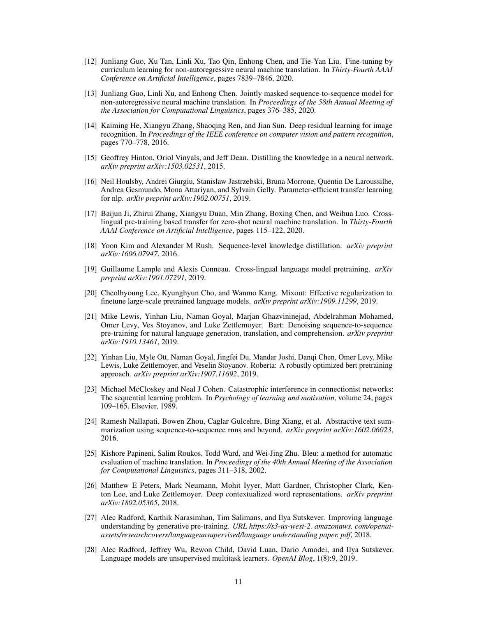- <span id="page-10-13"></span>[12] Junliang Guo, Xu Tan, Linli Xu, Tao Qin, Enhong Chen, and Tie-Yan Liu. Fine-tuning by curriculum learning for non-autoregressive neural machine translation. In *Thirty-Fourth AAAI Conference on Artificial Intelligence*, pages 7839–7846, 2020.
- <span id="page-10-14"></span>[13] Junliang Guo, Linli Xu, and Enhong Chen. Jointly masked sequence-to-sequence model for non-autoregressive neural machine translation. In *Proceedings of the 58th Annual Meeting of the Association for Computational Linguistics*, pages 376–385, 2020.
- <span id="page-10-15"></span>[14] Kaiming He, Xiangyu Zhang, Shaoqing Ren, and Jian Sun. Deep residual learning for image recognition. In *Proceedings of the IEEE conference on computer vision and pattern recognition*, pages 770–778, 2016.
- <span id="page-10-9"></span>[15] Geoffrey Hinton, Oriol Vinyals, and Jeff Dean. Distilling the knowledge in a neural network. *arXiv preprint arXiv:1503.02531*, 2015.
- <span id="page-10-11"></span>[16] Neil Houlsby, Andrei Giurgiu, Stanislaw Jastrzebski, Bruna Morrone, Quentin De Laroussilhe, Andrea Gesmundo, Mona Attariyan, and Sylvain Gelly. Parameter-efficient transfer learning for nlp. *arXiv preprint arXiv:1902.00751*, 2019.
- <span id="page-10-12"></span>[17] Baijun Ji, Zhirui Zhang, Xiangyu Duan, Min Zhang, Boxing Chen, and Weihua Luo. Crosslingual pre-training based transfer for zero-shot neural machine translation. In *Thirty-Fourth AAAI Conference on Artificial Intelligence*, pages 115–122, 2020.
- <span id="page-10-10"></span>[18] Yoon Kim and Alexander M Rush. Sequence-level knowledge distillation. *arXiv preprint arXiv:1606.07947*, 2016.
- <span id="page-10-7"></span>[19] Guillaume Lample and Alexis Conneau. Cross-lingual language model pretraining. *arXiv preprint arXiv:1901.07291*, 2019.
- <span id="page-10-5"></span>[20] Cheolhyoung Lee, Kyunghyun Cho, and Wanmo Kang. Mixout: Effective regularization to finetune large-scale pretrained language models. *arXiv preprint arXiv:1909.11299*, 2019.
- <span id="page-10-8"></span>[21] Mike Lewis, Yinhan Liu, Naman Goyal, Marjan Ghazvininejad, Abdelrahman Mohamed, Omer Levy, Ves Stoyanov, and Luke Zettlemoyer. Bart: Denoising sequence-to-sequence pre-training for natural language generation, translation, and comprehension. *arXiv preprint arXiv:1910.13461*, 2019.
- <span id="page-10-6"></span>[22] Yinhan Liu, Myle Ott, Naman Goyal, Jingfei Du, Mandar Joshi, Danqi Chen, Omer Levy, Mike Lewis, Luke Zettlemoyer, and Veselin Stoyanov. Roberta: A robustly optimized bert pretraining approach. *arXiv preprint arXiv:1907.11692*, 2019.
- <span id="page-10-3"></span>[23] Michael McCloskey and Neal J Cohen. Catastrophic interference in connectionist networks: The sequential learning problem. In *Psychology of learning and motivation*, volume 24, pages 109–165. Elsevier, 1989.
- <span id="page-10-2"></span>[24] Ramesh Nallapati, Bowen Zhou, Caglar Gulcehre, Bing Xiang, et al. Abstractive text summarization using sequence-to-sequence rnns and beyond. *arXiv preprint arXiv:1602.06023*, 2016.
- <span id="page-10-16"></span>[25] Kishore Papineni, Salim Roukos, Todd Ward, and Wei-Jing Zhu. Bleu: a method for automatic evaluation of machine translation. In *Proceedings of the 40th Annual Meeting of the Association for Computational Linguistics*, pages 311–318, 2002.
- <span id="page-10-0"></span>[26] Matthew E Peters, Mark Neumann, Mohit Iyyer, Matt Gardner, Christopher Clark, Kenton Lee, and Luke Zettlemoyer. Deep contextualized word representations. *arXiv preprint arXiv:1802.05365*, 2018.
- <span id="page-10-1"></span>[27] Alec Radford, Karthik Narasimhan, Tim Salimans, and Ilya Sutskever. Improving language understanding by generative pre-training. *URL https://s3-us-west-2. amazonaws. com/openaiassets/researchcovers/languageunsupervised/language understanding paper. pdf*, 2018.
- <span id="page-10-4"></span>[28] Alec Radford, Jeffrey Wu, Rewon Child, David Luan, Dario Amodei, and Ilya Sutskever. Language models are unsupervised multitask learners. *OpenAI Blog*, 1(8):9, 2019.